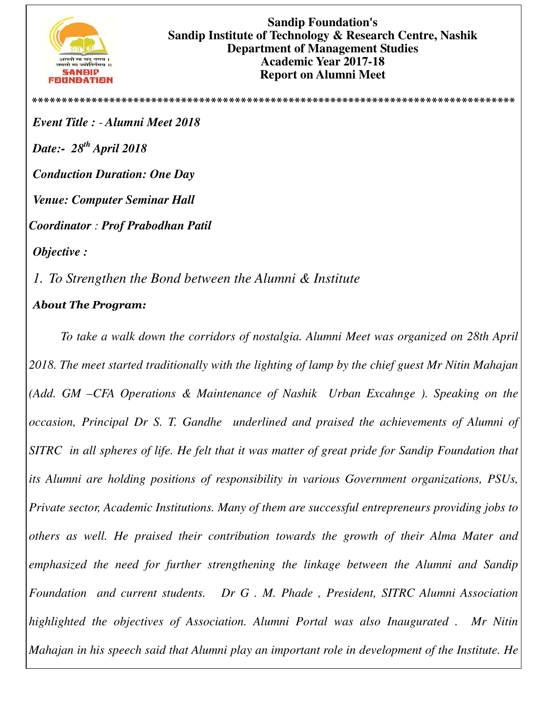

**Sandip Foundation's Sandip Institute of Technology & Research Centre, Nashik Department of Management Studies Academic Year 2017-18 Report on Alumni Meet** 

**\*\*\*\*\*\*\*\*\*\*\*\*\*\*\*\*\*\*\*\*\*\*\*\*\*\*\*\*\*\*\*\*\*\*\*\*\*\*\*\*\*\*\*\*\*\*\*\*\*\*\*\*\*\*\*\*\*\*\*\*\*\*\*\*\*\*\*\*\*\*\*\*\*\*\*\*\*\*\*\*\***

*Event Title : - Alumni Meet 2018 Date:- 28th April 2018 Conduction Duration: One Day Venue: Computer Seminar Hall Coordinator : Prof Prabodhan Patil Objective :* 

*1. To Strengthen the Bond between the Alumni & Institute* 

## *About The Program:*

*To take a walk down the corridors of nostalgia. Alumni Meet was organized on 28th April 2018. The meet started traditionally with the lighting of lamp by the chief guest Mr Nitin Mahajan (Add. GM –CFA Operations & Maintenance of Nashik Urban Excahnge ). Speaking on the occasion, Principal Dr S. T. Gandhe underlined and praised the achievements of Alumni of SITRC in all spheres of life. He felt that it was matter of great pride for Sandip Foundation that its Alumni are holding positions of responsibility in various Government organizations, PSUs, Private sector, Academic Institutions. Many of them are successful entrepreneurs providing jobs to others as well. He praised their contribution towards the growth of their Alma Mater and emphasized the need for further strengthening the linkage between the Alumni and Sandip Foundation and current students. Dr G . M. Phade , President, SITRC Alumni Association highlighted the objectives of Association. Alumni Portal was also Inaugurated . Mr Nitin Mahajan in his speech said that Alumni play an important role in development of the Institute. He*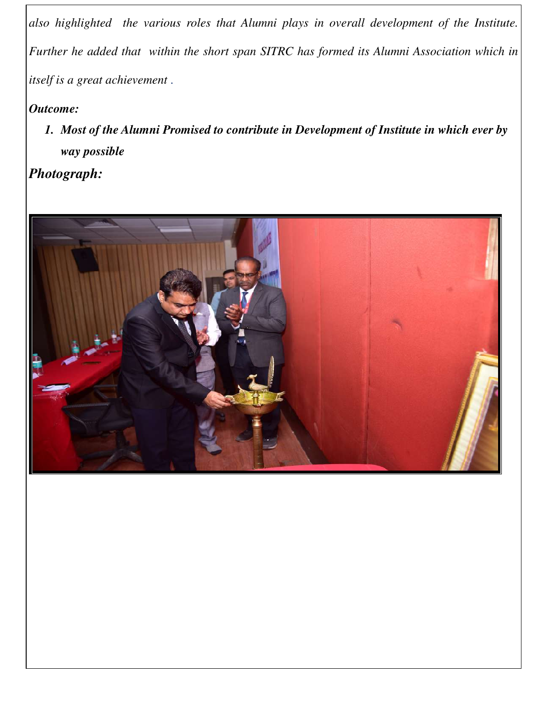*also highlighted the various roles that Alumni plays in overall development of the Institute. Further he added that within the short span SITRC has formed its Alumni Association which in itself is a great achievement* .

## *Outcome:*

*1. Most of the Alumni Promised to contribute in Development of Institute in which ever by way possible* 

*Photograph:*